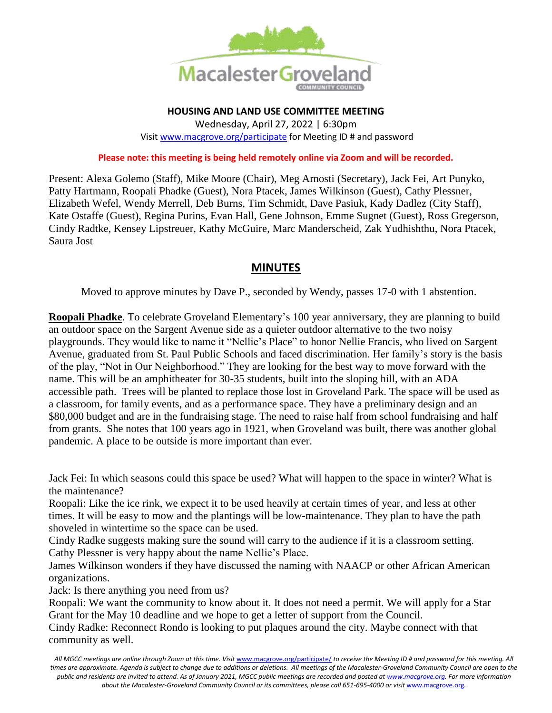

**HOUSING AND LAND USE COMMITTEE MEETING** Wednesday, April 27, 2022 | 6:30pm Visi[t www.macgrove.org/participate](file:///C:/Users/liz/Dropbox/Committees/Housing%20&%20Land%20Use%20Committee/AGENDAS/HLU%202021/www.macgrove.org/participate) for Meeting ID # and password

## **Please note: this meeting is being held remotely online via Zoom and will be recorded.**

Present: Alexa Golemo (Staff), Mike Moore (Chair), Meg Arnosti (Secretary), Jack Fei, Art Punyko, Patty Hartmann, Roopali Phadke (Guest), Nora Ptacek, James Wilkinson (Guest), Cathy Plessner, Elizabeth Wefel, Wendy Merrell, Deb Burns, Tim Schmidt, Dave Pasiuk, Kady Dadlez (City Staff), Kate Ostaffe (Guest), Regina Purins, Evan Hall, Gene Johnson, Emme Sugnet (Guest), Ross Gregerson, Cindy Radtke, Kensey Lipstreuer, Kathy McGuire, Marc Manderscheid, Zak Yudhishthu, Nora Ptacek, Saura Jost

## **MINUTES**

Moved to approve minutes by Dave P., seconded by Wendy, passes 17-0 with 1 abstention.

**Roopali Phadke**. To celebrate Groveland Elementary's 100 year anniversary, they are planning to build an outdoor space on the Sargent Avenue side as a quieter outdoor alternative to the two noisy playgrounds. They would like to name it "Nellie's Place" to honor Nellie Francis, who lived on Sargent Avenue, graduated from St. Paul Public Schools and faced discrimination. Her family's story is the basis of the play, "Not in Our Neighborhood." They are looking for the best way to move forward with the name. This will be an amphitheater for 30-35 students, built into the sloping hill, with an ADA accessible path. Trees will be planted to replace those lost in Groveland Park. The space will be used as a classroom, for family events, and as a performance space. They have a preliminary design and an \$80,000 budget and are in the fundraising stage. The need to raise half from school fundraising and half from grants. She notes that 100 years ago in 1921, when Groveland was built, there was another global pandemic. A place to be outside is more important than ever.

Jack Fei: In which seasons could this space be used? What will happen to the space in winter? What is the maintenance?

Roopali: Like the ice rink, we expect it to be used heavily at certain times of year, and less at other times. It will be easy to mow and the plantings will be low-maintenance. They plan to have the path shoveled in wintertime so the space can be used.

Cindy Radke suggests making sure the sound will carry to the audience if it is a classroom setting. Cathy Plessner is very happy about the name Nellie's Place.

James Wilkinson wonders if they have discussed the naming with NAACP or other African American organizations.

Jack: Is there anything you need from us?

Roopali: We want the community to know about it. It does not need a permit. We will apply for a Star Grant for the May 10 deadline and we hope to get a letter of support from the Council.

Cindy Radke: Reconnect Rondo is looking to put plaques around the city. Maybe connect with that community as well.

*All MGCC meetings are online through Zoom at this time. Visit* [www.macgrove.org/participate/](http://www.macgrove.org/participate/) *to receive the Meeting ID # and password for this meeting. All*  times are approximate. Agenda is subject to change due to additions or deletions. All meetings of the Macalester-Groveland Community Council are open to the *public and residents are invited to attend. As of January 2021, MGCC public meetings are recorded and posted a[t www.macgrove.org.](http://www.macgrove.org/) For more information*  about the Macalester-Groveland Community Council or its committees, please call 651-695-4000 or visit [www.macgrove.org](http://www.macgrove.org/).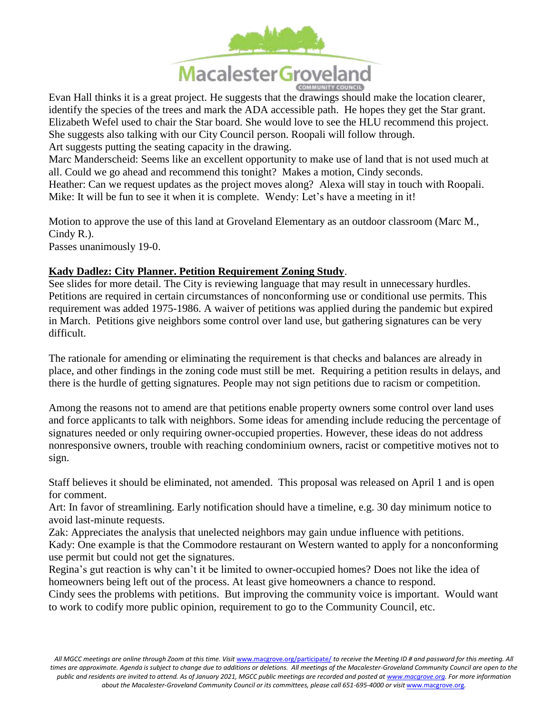

Evan Hall thinks it is a great project. He suggests that the drawings should make the location clearer, identify the species of the trees and mark the ADA accessible path. He hopes they get the Star grant. Elizabeth Wefel used to chair the Star board. She would love to see the HLU recommend this project. She suggests also talking with our City Council person. Roopali will follow through. Art suggests putting the seating capacity in the drawing.

Marc Manderscheid: Seems like an excellent opportunity to make use of land that is not used much at all. Could we go ahead and recommend this tonight? Makes a motion, Cindy seconds.

Heather: Can we request updates as the project moves along? Alexa will stay in touch with Roopali. Mike: It will be fun to see it when it is complete. Wendy: Let's have a meeting in it!

Motion to approve the use of this land at Groveland Elementary as an outdoor classroom (Marc M., Cindy R.). Passes unanimously 19-0.

## **Kady Dadlez: City Planner. Petition Requirement Zoning Study**.

See slides for more detail. The City is reviewing language that may result in unnecessary hurdles. Petitions are required in certain circumstances of nonconforming use or conditional use permits. This requirement was added 1975-1986. A waiver of petitions was applied during the pandemic but expired in March. Petitions give neighbors some control over land use, but gathering signatures can be very difficult.

The rationale for amending or eliminating the requirement is that checks and balances are already in place, and other findings in the zoning code must still be met. Requiring a petition results in delays, and there is the hurdle of getting signatures. People may not sign petitions due to racism or competition.

Among the reasons not to amend are that petitions enable property owners some control over land uses and force applicants to talk with neighbors. Some ideas for amending include reducing the percentage of signatures needed or only requiring owner-occupied properties. However, these ideas do not address nonresponsive owners, trouble with reaching condominium owners, racist or competitive motives not to sign.

Staff believes it should be eliminated, not amended. This proposal was released on April 1 and is open for comment.

Art: In favor of streamlining. Early notification should have a timeline, e.g. 30 day minimum notice to avoid last-minute requests.

Zak: Appreciates the analysis that unelected neighbors may gain undue influence with petitions. Kady: One example is that the Commodore restaurant on Western wanted to apply for a nonconforming use permit but could not get the signatures.

Regina's gut reaction is why can't it be limited to owner-occupied homes? Does not like the idea of homeowners being left out of the process. At least give homeowners a chance to respond.

Cindy sees the problems with petitions. But improving the community voice is important. Would want to work to codify more public opinion, requirement to go to the Community Council, etc.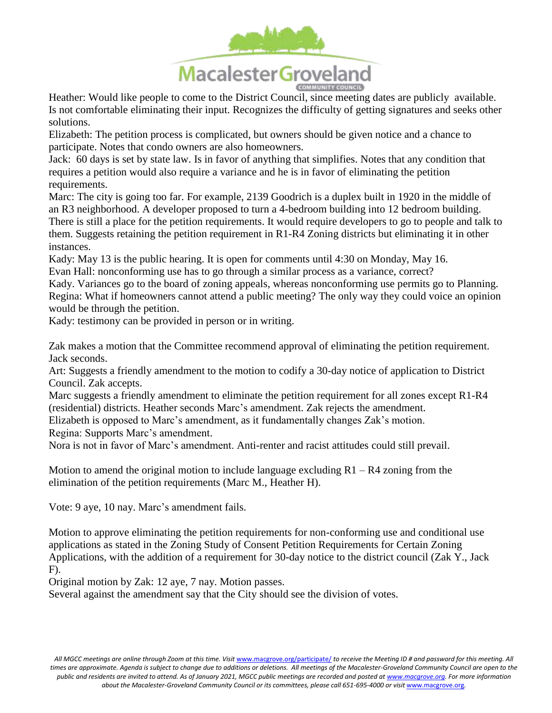

Heather: Would like people to come to the District Council, since meeting dates are publicly available. Is not comfortable eliminating their input. Recognizes the difficulty of getting signatures and seeks other solutions.

Elizabeth: The petition process is complicated, but owners should be given notice and a chance to participate. Notes that condo owners are also homeowners.

Jack: 60 days is set by state law. Is in favor of anything that simplifies. Notes that any condition that requires a petition would also require a variance and he is in favor of eliminating the petition requirements.

Marc: The city is going too far. For example, 2139 Goodrich is a duplex built in 1920 in the middle of an R3 neighborhood. A developer proposed to turn a 4-bedroom building into 12 bedroom building. There is still a place for the petition requirements. It would require developers to go to people and talk to them. Suggests retaining the petition requirement in R1-R4 Zoning districts but eliminating it in other instances.

Kady: May 13 is the public hearing. It is open for comments until 4:30 on Monday, May 16.

Evan Hall: nonconforming use has to go through a similar process as a variance, correct?

Kady. Variances go to the board of zoning appeals, whereas nonconforming use permits go to Planning. Regina: What if homeowners cannot attend a public meeting? The only way they could voice an opinion would be through the petition.

Kady: testimony can be provided in person or in writing.

Zak makes a motion that the Committee recommend approval of eliminating the petition requirement. Jack seconds.

Art: Suggests a friendly amendment to the motion to codify a 30-day notice of application to District Council. Zak accepts.

Marc suggests a friendly amendment to eliminate the petition requirement for all zones except R1-R4 (residential) districts. Heather seconds Marc's amendment. Zak rejects the amendment.

Elizabeth is opposed to Marc's amendment, as it fundamentally changes Zak's motion.

Regina: Supports Marc's amendment.

Nora is not in favor of Marc's amendment. Anti-renter and racist attitudes could still prevail.

Motion to amend the original motion to include language excluding  $R1 - R4$  zoning from the elimination of the petition requirements (Marc M., Heather H).

Vote: 9 aye, 10 nay. Marc's amendment fails.

Motion to approve eliminating the petition requirements for non-conforming use and conditional use applications as stated in the Zoning Study of Consent Petition Requirements for Certain Zoning Applications, with the addition of a requirement for 30-day notice to the district council (Zak Y., Jack F).

Original motion by Zak: 12 aye, 7 nay. Motion passes.

Several against the amendment say that the City should see the division of votes.